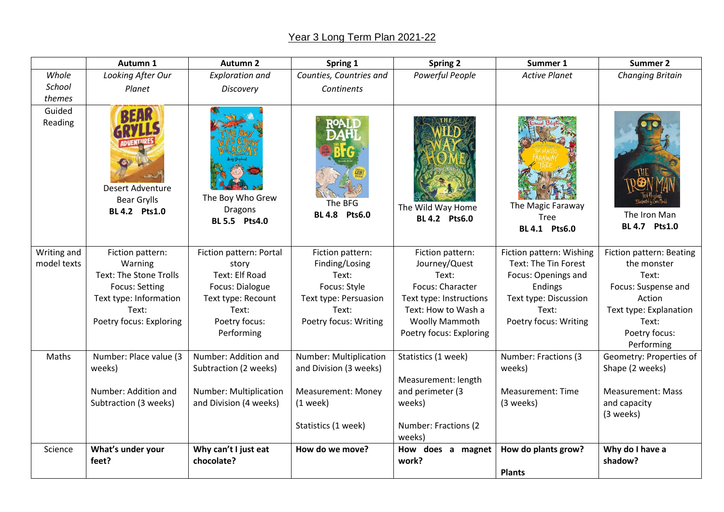## Year 3 Long Term Plan 2021-22

|                   | Autumn 1                                                | <b>Autumn 2</b>                                     | Spring 1                  | <b>Spring 2</b>                           | Summer 1                                          | <b>Summer 2</b>               |
|-------------------|---------------------------------------------------------|-----------------------------------------------------|---------------------------|-------------------------------------------|---------------------------------------------------|-------------------------------|
| Whole             | Looking After Our                                       | <b>Exploration and</b>                              | Counties, Countries and   | Powerful People                           | <b>Active Planet</b>                              | <b>Changing Britain</b>       |
| School            | Planet                                                  | <b>Discovery</b>                                    | Continents                |                                           |                                                   |                               |
| themes            |                                                         |                                                     |                           |                                           |                                                   |                               |
| Guided<br>Reading | Desert Adventure<br><b>Bear Grylls</b><br>BL 4.2 Pts1.0 | The Boy Who Grew<br><b>Dragons</b><br>BL 5.5 Pts4.0 | The BFG<br>BL 4.8 Pts6.0  | The Wild Way Home<br><b>BL 4.2 Pts6.0</b> | The Magic Faraway<br><b>Tree</b><br>BL 4.1 Pts6.0 | The Iron Man<br>BL 4.7 Pts1.0 |
| Writing and       | Fiction pattern:                                        | Fiction pattern: Portal                             | Fiction pattern:          | Fiction pattern:                          | Fiction pattern: Wishing                          | Fiction pattern: Beating      |
| model texts       | Warning                                                 | story                                               | Finding/Losing            | Journey/Quest                             | Text: The Tin Forest                              | the monster                   |
|                   | Text: The Stone Trolls                                  | Text: Elf Road                                      | Text:                     | Text:                                     | Focus: Openings and                               | Text:                         |
|                   | Focus: Setting                                          | Focus: Dialogue                                     | Focus: Style              | Focus: Character                          | Endings                                           | Focus: Suspense and           |
|                   | Text type: Information                                  | Text type: Recount                                  | Text type: Persuasion     | Text type: Instructions                   | Text type: Discussion                             | Action                        |
|                   | Text:                                                   | Text:                                               | Text:                     | Text: How to Wash a                       | Text:                                             | Text type: Explanation        |
|                   | Poetry focus: Exploring                                 | Poetry focus:                                       | Poetry focus: Writing     | <b>Woolly Mammoth</b>                     | Poetry focus: Writing                             | Text:                         |
|                   |                                                         | Performing                                          |                           | Poetry focus: Exploring                   |                                                   | Poetry focus:                 |
|                   |                                                         |                                                     |                           |                                           |                                                   | Performing                    |
| Maths             | Number: Place value (3                                  | Number: Addition and                                | Number: Multiplication    | Statistics (1 week)                       | Number: Fractions (3                              | Geometry: Properties of       |
|                   | weeks)                                                  | Subtraction (2 weeks)                               | and Division (3 weeks)    |                                           | weeks)                                            | Shape (2 weeks)               |
|                   |                                                         |                                                     |                           | Measurement: length                       |                                                   |                               |
|                   | Number: Addition and                                    | Number: Multiplication                              | <b>Measurement: Money</b> | and perimeter (3                          | Measurement: Time                                 | <b>Measurement: Mass</b>      |
|                   | Subtraction (3 weeks)                                   | and Division (4 weeks)                              | $(1$ week)                | weeks)                                    | (3 weeks)                                         | and capacity                  |
|                   |                                                         |                                                     |                           |                                           |                                                   | (3 weeks)                     |
|                   |                                                         |                                                     | Statistics (1 week)       | Number: Fractions (2)                     |                                                   |                               |
|                   |                                                         |                                                     |                           | weeks)                                    |                                                   |                               |
| Science           | What's under your<br>feet?                              | Why can't I just eat<br>chocolate?                  | How do we move?           | How does a magnet<br>work?                | How do plants grow?<br><b>Plants</b>              | Why do I have a<br>shadow?    |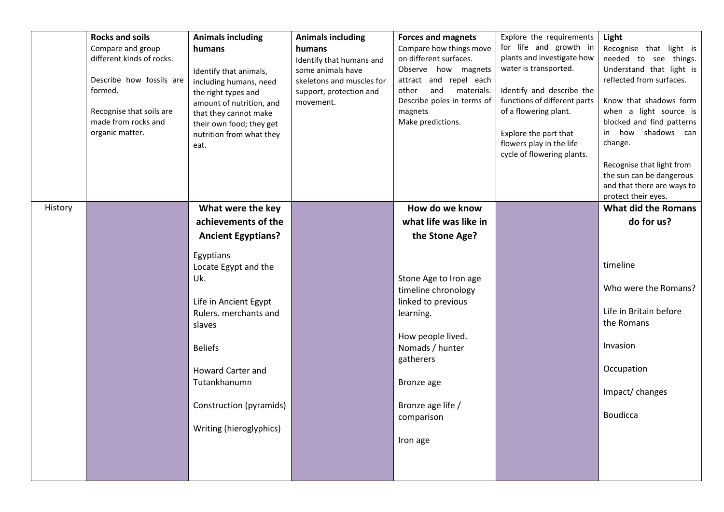|         | <b>Rocks and soils</b><br>Compare and group | <b>Animals including</b>                          | <b>Animals including</b>                       | <b>Forces and magnets</b><br>Compare how things move | Explore the requirements<br>for life and growth in    | Light<br>Recognise that light is                      |
|---------|---------------------------------------------|---------------------------------------------------|------------------------------------------------|------------------------------------------------------|-------------------------------------------------------|-------------------------------------------------------|
|         | different kinds of rocks.                   | humans                                            | humans<br>Identify that humans and             | on different surfaces.                               | plants and investigate how                            | needed to see things.                                 |
|         | Describe how fossils are                    | Identify that animals,                            | some animals have<br>skeletons and muscles for | Observe how magnets<br>attract and repel each        | water is transported.                                 | Understand that light is<br>reflected from surfaces.  |
|         | formed.                                     | including humans, need<br>the right types and     | support, protection and                        | and<br>materials.<br>other                           | Identify and describe the                             |                                                       |
|         | Recognise that soils are                    | amount of nutrition, and<br>that they cannot make | movement.                                      | Describe poles in terms of<br>magnets                | functions of different parts<br>of a flowering plant. | Know that shadows form<br>when a light source is      |
|         | made from rocks and                         | their own food; they get                          |                                                | Make predictions.                                    |                                                       | blocked and find patterns                             |
|         | organic matter.                             | nutrition from what they<br>eat.                  |                                                |                                                      | Explore the part that<br>flowers play in the life     | in how shadows can<br>change.                         |
|         |                                             |                                                   |                                                |                                                      | cycle of flowering plants.                            |                                                       |
|         |                                             |                                                   |                                                |                                                      |                                                       | Recognise that light from<br>the sun can be dangerous |
|         |                                             |                                                   |                                                |                                                      |                                                       | and that there are ways to                            |
|         |                                             |                                                   |                                                |                                                      |                                                       | protect their eyes.                                   |
| History |                                             | What were the key<br>achievements of the          |                                                | How do we know<br>what life was like in              |                                                       | <b>What did the Romans</b><br>do for us?              |
|         |                                             | <b>Ancient Egyptians?</b>                         |                                                | the Stone Age?                                       |                                                       |                                                       |
|         |                                             |                                                   |                                                |                                                      |                                                       |                                                       |
|         |                                             | Egyptians<br>Locate Egypt and the                 |                                                |                                                      |                                                       | timeline                                              |
|         |                                             | Uk.                                               |                                                | Stone Age to Iron age                                |                                                       |                                                       |
|         |                                             |                                                   |                                                | timeline chronology                                  |                                                       | Who were the Romans?                                  |
|         |                                             | Life in Ancient Egypt<br>Rulers. merchants and    |                                                | linked to previous                                   |                                                       | Life in Britain before                                |
|         |                                             | slaves                                            |                                                | learning.                                            |                                                       | the Romans                                            |
|         |                                             |                                                   |                                                | How people lived.                                    |                                                       |                                                       |
|         |                                             | <b>Beliefs</b>                                    |                                                | Nomads / hunter                                      |                                                       | Invasion                                              |
|         |                                             | <b>Howard Carter and</b>                          |                                                | gatherers                                            |                                                       | Occupation                                            |
|         |                                             | Tutankhanumn                                      |                                                | Bronze age                                           |                                                       |                                                       |
|         |                                             |                                                   |                                                |                                                      |                                                       | Impact/changes                                        |
|         |                                             | Construction (pyramids)                           |                                                | Bronze age life /<br>comparison                      |                                                       | <b>Boudicca</b>                                       |
|         |                                             | Writing (hieroglyphics)                           |                                                |                                                      |                                                       |                                                       |
|         |                                             |                                                   |                                                | Iron age                                             |                                                       |                                                       |
|         |                                             |                                                   |                                                |                                                      |                                                       |                                                       |
|         |                                             |                                                   |                                                |                                                      |                                                       |                                                       |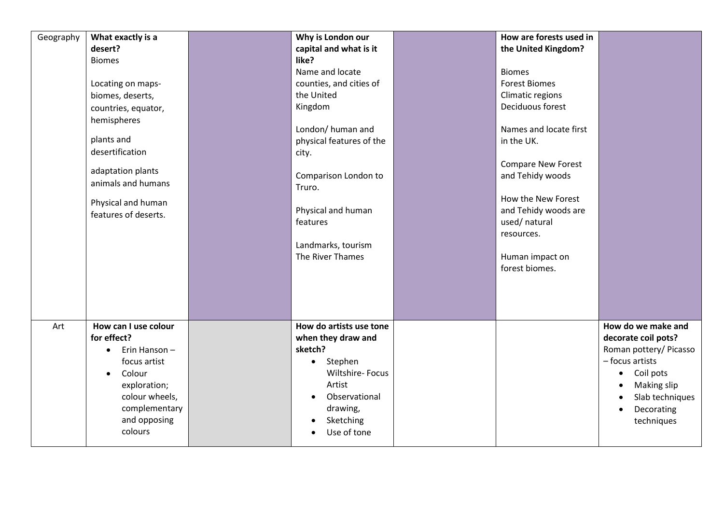| Geography | What exactly is a<br>desert?<br><b>Biomes</b><br>Locating on maps-<br>biomes, deserts,<br>countries, equator,<br>hemispheres<br>plants and<br>desertification<br>adaptation plants<br>animals and humans<br>Physical and human<br>features of deserts. | Why is London our<br>capital and what is it<br>like?<br>Name and locate<br>counties, and cities of<br>the United<br>Kingdom<br>London/ human and<br>physical features of the<br>city.<br>Comparison London to<br>Truro.<br>Physical and human<br>features<br>Landmarks, tourism<br>The River Thames | How are forests used in<br>the United Kingdom?<br><b>Biomes</b><br><b>Forest Biomes</b><br>Climatic regions<br>Deciduous forest<br>Names and locate first<br>in the UK.<br><b>Compare New Forest</b><br>and Tehidy woods<br>How the New Forest<br>and Tehidy woods are<br>used/ natural<br>resources.<br>Human impact on<br>forest biomes. |                                                                                                                                                                                             |
|-----------|--------------------------------------------------------------------------------------------------------------------------------------------------------------------------------------------------------------------------------------------------------|-----------------------------------------------------------------------------------------------------------------------------------------------------------------------------------------------------------------------------------------------------------------------------------------------------|--------------------------------------------------------------------------------------------------------------------------------------------------------------------------------------------------------------------------------------------------------------------------------------------------------------------------------------------|---------------------------------------------------------------------------------------------------------------------------------------------------------------------------------------------|
| Art       | How can I use colour<br>for effect?<br>Erin Hanson -<br>$\bullet$<br>focus artist<br>Colour<br>$\bullet$<br>exploration;<br>colour wheels,<br>complementary<br>and opposing<br>colours                                                                 | How do artists use tone<br>when they draw and<br>sketch?<br>• Stephen<br><b>Wiltshire-Focus</b><br>Artist<br>Observational<br>drawing,<br>Sketching<br>Use of tone                                                                                                                                  |                                                                                                                                                                                                                                                                                                                                            | How do we make and<br>decorate coil pots?<br>Roman pottery/ Picasso<br>- focus artists<br>Coil pots<br>$\bullet$<br>Making slip<br>Slab techniques<br>Decorating<br>$\bullet$<br>techniques |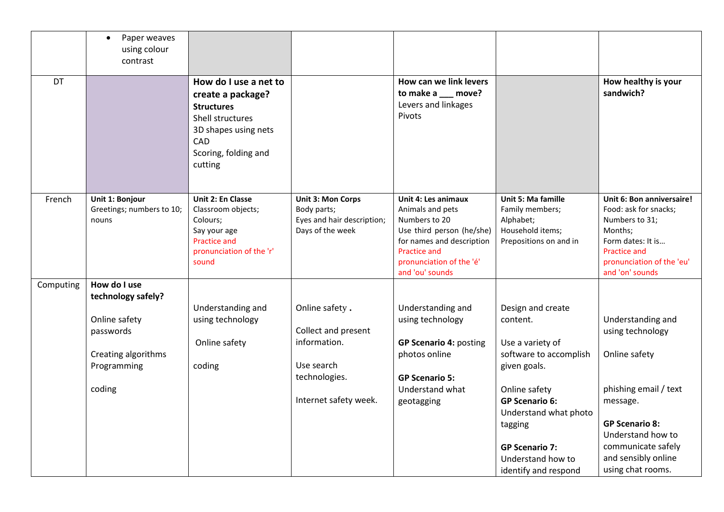|           | Paper weaves<br>$\bullet$<br>using colour<br>contrast            |                                                                                                                                                       |                                                                                           |                                                                                                                                                                                          |                                                                                                                                                  |                                                                                                                                                                             |
|-----------|------------------------------------------------------------------|-------------------------------------------------------------------------------------------------------------------------------------------------------|-------------------------------------------------------------------------------------------|------------------------------------------------------------------------------------------------------------------------------------------------------------------------------------------|--------------------------------------------------------------------------------------------------------------------------------------------------|-----------------------------------------------------------------------------------------------------------------------------------------------------------------------------|
| <b>DT</b> |                                                                  | How do I use a net to<br>create a package?<br><b>Structures</b><br>Shell structures<br>3D shapes using nets<br>CAD<br>Scoring, folding and<br>cutting |                                                                                           | How can we link levers<br>to make a __ move?<br>Levers and linkages<br>Pivots                                                                                                            |                                                                                                                                                  | How healthy is your<br>sandwich?                                                                                                                                            |
| French    | Unit 1: Bonjour<br>Greetings; numbers to 10;<br>nouns            | Unit 2: En Classe<br>Classroom objects;<br>Colours;<br>Say your age<br><b>Practice and</b><br>pronunciation of the 'r'<br>sound                       | <b>Unit 3: Mon Corps</b><br>Body parts;<br>Eyes and hair description;<br>Days of the week | Unit 4: Les animaux<br>Animals and pets<br>Numbers to 20<br>Use third person (he/she)<br>for names and description<br><b>Practice and</b><br>pronunciation of the 'é'<br>and 'ou' sounds | Unit 5: Ma famille<br>Family members;<br>Alphabet;<br>Household items;<br>Prepositions on and in                                                 | Unit 6: Bon anniversaire!<br>Food: ask for snacks;<br>Numbers to 31;<br>Months;<br>Form dates: It is<br><b>Practice and</b><br>pronunciation of the 'eu'<br>and 'on' sounds |
| Computing | How do I use<br>technology safely?                               |                                                                                                                                                       |                                                                                           |                                                                                                                                                                                          |                                                                                                                                                  |                                                                                                                                                                             |
|           | Online safety<br>passwords<br>Creating algorithms<br>Programming | Understanding and<br>using technology<br>Online safety<br>coding                                                                                      | Online safety.<br>Collect and present<br>information.<br>Use search<br>technologies.      | Understanding and<br>using technology<br><b>GP Scenario 4: posting</b><br>photos online<br><b>GP Scenario 5:</b>                                                                         | Design and create<br>content.<br>Use a variety of<br>software to accomplish<br>given goals.                                                      | Understanding and<br>using technology<br>Online safety                                                                                                                      |
|           | coding                                                           |                                                                                                                                                       | Internet safety week.                                                                     | Understand what<br>geotagging                                                                                                                                                            | Online safety<br><b>GP Scenario 6:</b><br>Understand what photo<br>tagging<br><b>GP Scenario 7:</b><br>Understand how to<br>identify and respond | phishing email / text<br>message.<br><b>GP Scenario 8:</b><br>Understand how to<br>communicate safely<br>and sensibly online<br>using chat rooms.                           |